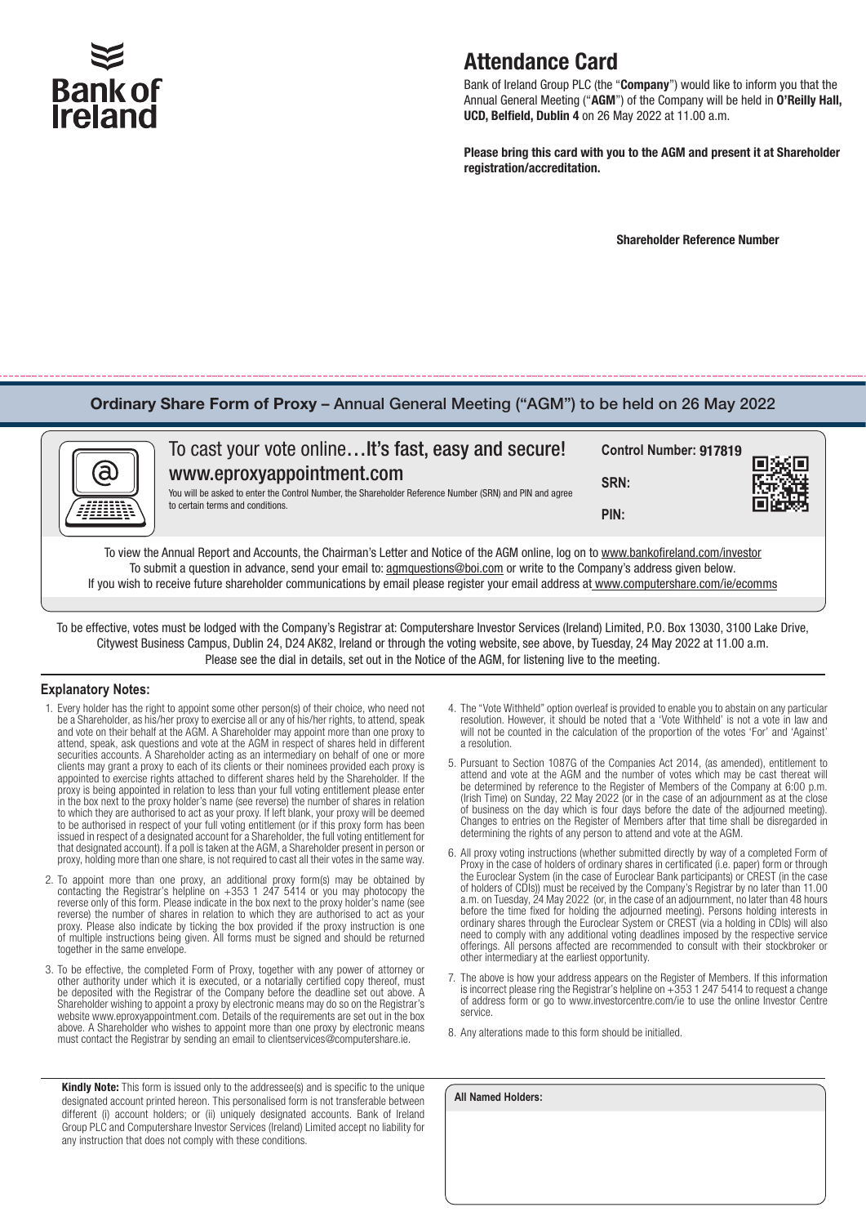# **Bank of**

## Attendance Card

Bank of Ireland Group PLC (the "Company") would like to inform you that the Annual General Meeting ("AGM") of the Company will be held in O'Reilly Hall, UCD, Belfield, Dublin 4 on 26 May 2022 at 11.00 a.m.

Please bring this card with you to the AGM and present it at Shareholder registration/accreditation.

Shareholder Reference Number

### Ordinary Share Form of Proxy – Annual General Meeting ("AGM") to be held on 26 May 2022

| To cast your vote onlineIt's fast, easy and secure!<br>www.eproxyappointment.com<br>You will be asked to enter the Control Number, the Shareholder Reference Number (SRN) and PIN and agree<br>to certain terms and conditions.                                                                                                                                                                             | Control Number: 917819<br>SRN:<br>PIN: |  |
|-------------------------------------------------------------------------------------------------------------------------------------------------------------------------------------------------------------------------------------------------------------------------------------------------------------------------------------------------------------------------------------------------------------|----------------------------------------|--|
| To view the Annual Report and Accounts, the Chairman's Letter and Notice of the AGM online, log on to www.bankofireland.com/investor<br>To submit a question in advance, send your email to: agmquestions@boi.com or write to the Company's address given below.<br>If you wish to receive future shareholder communications by email please register your email address at www.computershare.com/ie/ecomms |                                        |  |

To be effective, votes must be lodged with the Company's Registrar at: Computershare Investor Services (Ireland) Limited, P.O. Box 13030, 3100 Lake Drive, Citywest Business Campus, Dublin 24, D24 AK82, Ireland or through the voting website, see above, by Tuesday, 24 May 2022 at 11.00 a.m. Please see the dial in details, set out in the Notice of the AGM, for listening live to the meeting.

#### **Explanatory Notes:**

- 1. Every holder has the right to appoint some other person(s) of their choice, who need not be a Shareholder, as his/her proxy to exercise all or any of his/her rights, to attend, speak and vote on their behalf at the AGM. A Shareholder may appoint more than one proxy to attend, speak, ask questions and vote at the AGM in respect of shares held in different securities accounts. A Shareholder acting as an intermediary on behalf of one or more clients may grant a proxy to each of its clients or their nominees provided each proxy is appointed to exercise rights attached to different shares held by the Shareholder. If the proxy is being appointed in relation to less than your full voting entitlement please enter in the box next to the proxy holder's name (see reverse) the number of shares in relation to which they are authorised to act as your proxy. If left blank, your proxy will be deemed to be authorised in respect of your full voting entitlement (or if this proxy form has been issued in respect of a designated account for a Shareholder, the full voting entitlement for that designated account). If a poll is taken at the AGM, a Shareholder present in person or proxy, holding more than one share, is not required to cast all their votes in the same way.
- 2. To appoint more than one proxy, an additional proxy form(s) may be obtained by contacting the Registrar's helpline on +353 1 247 5414 or you may photocopy the reverse only of this form. Please indicate in the box next to the proxy holder's name (see reverse) the number of shares in relation to which they are authorised to act as your proxy. Please also indicate by ticking the box provided if the proxy instruction is one of multiple instructions being given. All forms must be signed and should be returned together in the same envelope.
- 3. To be effective, the completed Form of Proxy, together with any power of attorney or other authority under which it is executed, or a notarially certified copy thereof, must be deposited with the Registrar of the Company before the deadline set out above. A Shareholder wishing to appoint a proxy by electronic means may do so on the Registrar's website www.eproxyappointment.com. Details of the requirements are set out in the box above. A Shareholder who wishes to appoint more than one proxy by electronic means must contact the Registrar by sending an email to clientservices@computershare.ie.

Kindly Note: This form is issued only to the addressee(s) and is specific to the unique designated account printed hereon. This personalised form is not transferable between different (i) account holders; or (ii) uniquely designated accounts. Bank of Ireland Group PLC and Computershare Investor Services (Ireland) Limited accept no liability for any instruction that does not comply with these conditions.

- 4. The "Vote Withheld" option overleaf is provided to enable you to abstain on any particular resolution. However, it should be noted that a 'Vote Withheld' is not a vote in law and will not be counted in the calculation of the proportion of the votes 'For' and 'Against' a resolution.
- 5. Pursuant to Section 1087G of the Companies Act 2014, (as amended), entitlement to attend and vote at the AGM and the number of votes which may be cast thereat will be determined by reference to the Register of Members of the Company at 6:00 p.m. (Irish Time) on Sunday, 22 May 2022 (or in the case of an adjournment as at the close of business on the day which is four days before the date of the adjourned meeting). Changes to entries on the Register of Members after that time shall be disregarded in determining the rights of any person to attend and vote at the AGM.
- 6. All proxy voting instructions (whether submitted directly by way of a completed Form of Proxy in the case of holders of ordinary shares in certificated (i.e. paper) form or through the Euroclear System (in the case of Euroclear Bank participants) or CREST (in the case of holders of CDIs)) must be received by the Company's Registrar by no later than 11.00 a.m. on Tuesday, 24 May 2022 (or, in the case of an adjournment, no later than 48 hours before the time fixed for holding the adjourned meeting). Persons holding interests in ordinary shares through the Euroclear System or CREST (via a holding in CDIs) will also need to comply with any additional voting deadlines imposed by the respective service offerings. All persons affected are recommended to consult with their stockbroker or other intermediary at the earliest opportunity.
- 7. The above is how your address appears on the Register of Members. If this information is incorrect please ring the Registrar's helpline on +353 1 247 5414 to request a change of address form or go to www.investorcentre.com/ie to use the online Investor Centre service.
- 8. Any alterations made to this form should be initialled.

| <b>All Named Holders:</b> |  |  |
|---------------------------|--|--|
|                           |  |  |
|                           |  |  |
|                           |  |  |
|                           |  |  |